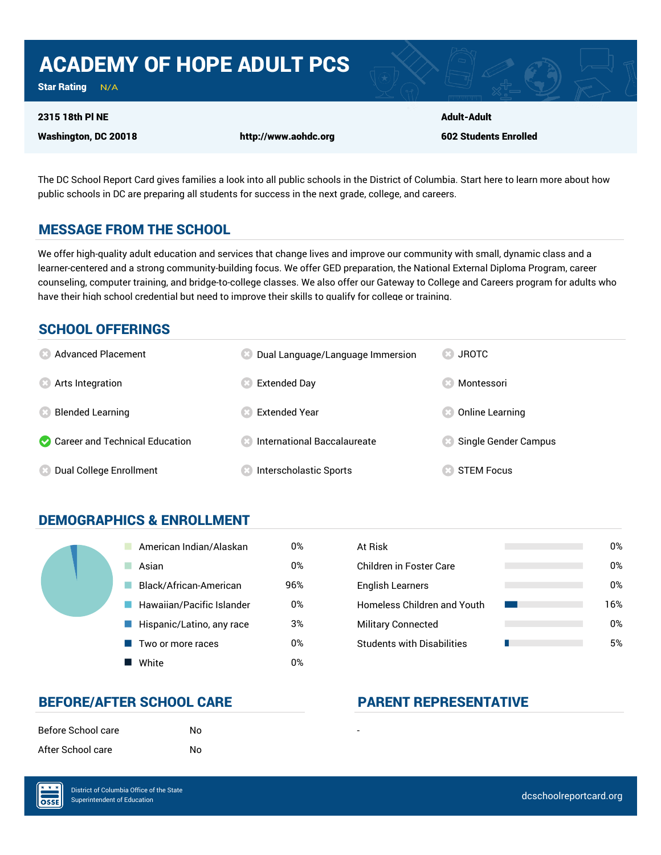# ACADEMY OF HOPE ADULT PCS

Star Rating  $N/A$ 

#### 2315 18th Pl NE

Washington, DC 20018 http://www.aohdc.org

Adult-Adult 602 Students Enrolled

The DC School Report Card gives families a look into all public schools in the District of Columbia. Start here to learn more about how public schools in DC are preparing all students for success in the next grade, college, and careers.

#### MESSAGE FROM THE SCHOOL

We offer high-quality adult education and services that change lives and improve our community with small, dynamic class and a learner-centered and a strong community-building focus. We offer GED preparation, the National External Diploma Program, career counseling, computer training, and bridge-to-college classes. We also offer our Gateway to College and Careers program for adults who have their high school credential but need to improve their skills to qualify for college or training.

#### SCHOOL OFFERINGS

| <b>8</b> Advanced Placement      | Dual Language/Language Immersion    | <b>JROTC</b>         |
|----------------------------------|-------------------------------------|----------------------|
| <b>8</b> Arts Integration        | Extended Day                        | Montessori           |
| <b>Blended Learning</b>          | <b>Extended Year</b>                | Online Learning      |
| Career and Technical Education   | <b>Confirmational Baccalaureate</b> | Single Gender Campus |
| <b>8</b> Dual College Enrollment | <b>Interscholastic Sports</b>       | <b>STEM Focus</b>    |

#### DEMOGRAPHICS & ENROLLMENT

| American Indian/Alaskan   | 0%  | At Risk                            |
|---------------------------|-----|------------------------------------|
| Asian                     | 0%  | <b>Children in Foster Care</b>     |
| Black/African-American    | 96% | <b>English Learners</b>            |
| Hawaiian/Pacific Islander | 0%  | <b>Homeless Children and Youth</b> |
| Hispanic/Latino, any race | 3%  | <b>Military Connected</b>          |
| Two or more races         | 0%  | <b>Students with Disabilities</b>  |
| White                     | 0%  |                                    |

| At Risk                            | 0%  |
|------------------------------------|-----|
| Children in Foster Care            | በ%  |
| <b>English Learners</b>            | 0%  |
| <b>Homeless Children and Youth</b> | 16% |
| <b>Military Connected</b>          | 0%  |
| <b>Students with Disabilities</b>  | 5%  |

#### BEFORE/AFTER SCHOOL CARE PARENT REPRESENTATIVE

| Before School care | No. |  |
|--------------------|-----|--|
| After School care  | No. |  |

OSSE